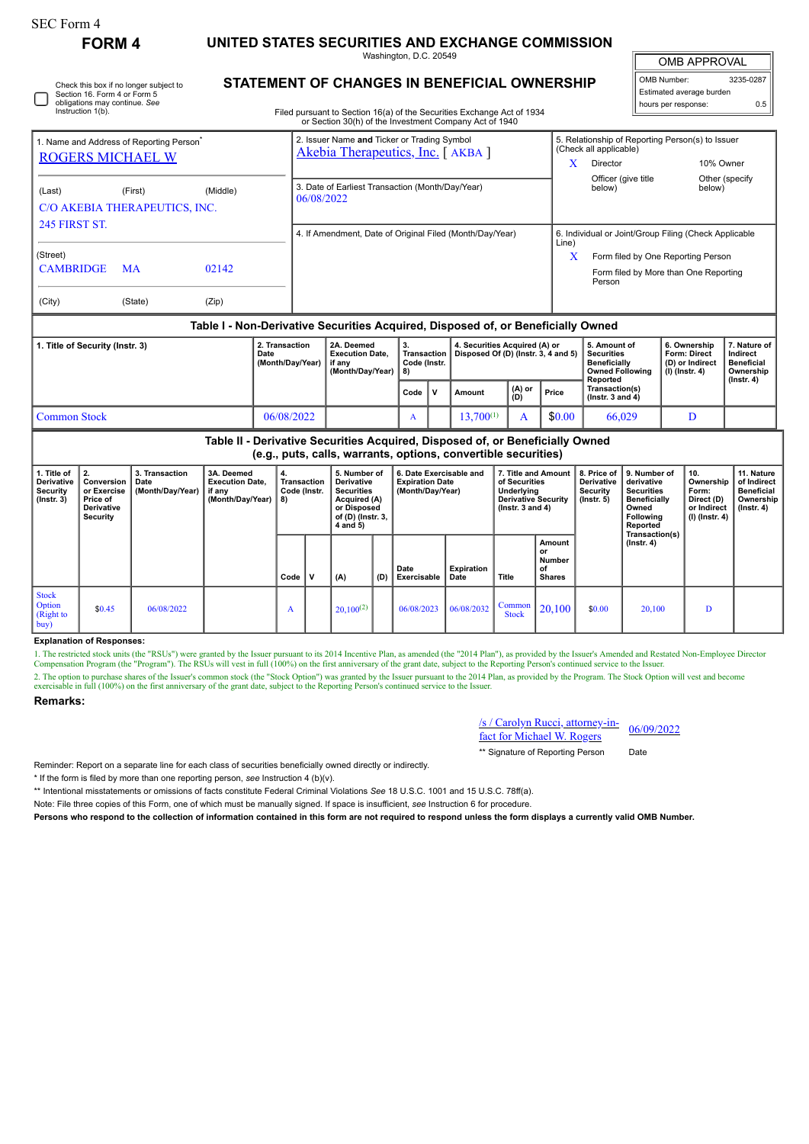| SEC Form 4 |  |
|------------|--|
|------------|--|

## **FORM 4 UNITED STATES SECURITIES AND EXCHANGE COMMISSION**

Washington, D.C. 20549

OMB APPROVAL

| OMB Number:              | 3235-0287 |
|--------------------------|-----------|
| Estimated average burden |           |
| hours per response:      | 0.5       |

Filed pursuant to Section 16(a) of the Securities Exchange Act of 1934

|                                                                                  |           |       |                                                                | or Section 30(h) of the Investment Company Act of 1940                          |           |                                                                                                                 |                         |   |                                                                                    |                                                                                                          |                                                                                |  |  |  |
|----------------------------------------------------------------------------------|-----------|-------|----------------------------------------------------------------|---------------------------------------------------------------------------------|-----------|-----------------------------------------------------------------------------------------------------------------|-------------------------|---|------------------------------------------------------------------------------------|----------------------------------------------------------------------------------------------------------|--------------------------------------------------------------------------------|--|--|--|
| 1. Name and Address of Reporting Person <sup>®</sup><br><b>ROGERS MICHAEL W</b>  |           |       |                                                                | 2. Issuer Name and Ticker or Trading Symbol<br>Akebia Therapeutics, Inc. [AKBA] |           |                                                                                                                 |                         |   |                                                                                    | 5. Relationship of Reporting Person(s) to Issuer<br>(Check all applicable)<br>10% Owner<br>x<br>Director |                                                                                |  |  |  |
| (Last)<br>C/O AKEBIA THERAPEUTICS, INC.<br><b>245 FIRST ST.</b>                  | (First)   |       | 3. Date of Earliest Transaction (Month/Day/Year)<br>06/08/2022 |                                                                                 |           |                                                                                                                 |                         |   | Officer (give title<br>below)                                                      | below)                                                                                                   | Other (specify                                                                 |  |  |  |
|                                                                                  |           |       | 4. If Amendment, Date of Original Filed (Month/Day/Year)       |                                                                                 |           |                                                                                                                 |                         |   | 6. Individual or Joint/Group Filing (Check Applicable<br>Line)                     |                                                                                                          |                                                                                |  |  |  |
| (Street)<br><b>CAMBRIDGE</b>                                                     | <b>MA</b> | 02142 |                                                                |                                                                                 |           |                                                                                                                 |                         |   |                                                                                    | Form filed by One Reporting Person<br>X<br>Form filed by More than One Reporting<br>Person               |                                                                                |  |  |  |
| (City)                                                                           | (State)   | (Zip) |                                                                |                                                                                 |           |                                                                                                                 |                         |   |                                                                                    |                                                                                                          |                                                                                |  |  |  |
| Table I - Non-Derivative Securities Acquired, Disposed of, or Beneficially Owned |           |       |                                                                |                                                                                 |           |                                                                                                                 |                         |   |                                                                                    |                                                                                                          |                                                                                |  |  |  |
| 1. Title of Security (Instr. 3)<br>Date                                          |           |       | 2. Transaction<br>(Month/Day/Year)                             | 2A. Deemed<br><b>Execution Date.</b><br>if any<br>(Month/Day/Year)              |           | 3.<br>4. Securities Acquired (A) or<br>Disposed Of (D) (Instr. 3, 4 and 5)<br>Transaction<br>Code (Instr.<br>8) |                         |   | 5. Amount of<br><b>Securities</b><br><b>Beneficially</b><br><b>Owned Following</b> | 6. Ownership<br>Form: Direct<br>(D) or Indirect<br>(I) (Instr. 4)                                        | 7. Nature of<br>Indirect<br><b>Beneficial</b><br>Ownership<br>$($ Instr. 4 $)$ |  |  |  |
|                                                                                  |           |       |                                                                |                                                                                 | v<br>Code |                                                                                                                 | (A) or<br>Amount<br>(D) |   | Price                                                                              | Reported<br>Transaction(s)<br>$($ Instr. 3 and 4 $)$                                                     |                                                                                |  |  |  |
| <b>Common Stock</b><br>06/08/2022                                                |           |       |                                                                |                                                                                 | A         |                                                                                                                 | $13,700^{(1)}$          | A | \$0.00                                                                             | 66,029                                                                                                   | D                                                                              |  |  |  |

**Table II - Derivative Securities Acquired, Disposed of, or Beneficially Owned (e.g., puts, calls, warrants, options, convertible securities)**

| 1. Title of<br><b>Derivative</b><br>Security<br>$($ Instr. 3 $)$ | 2.<br>Conversion<br>or Exercise<br>Price of<br>Derivative<br>Security | 3. Transaction<br>Date<br>(Month/Day/Year) | 3A. Deemed<br><b>Execution Date.</b><br>if any<br>(Month/Day/Year) | Transaction<br>Code (Instr.<br>8) | 5. Number of<br>Derivative<br><b>Securities</b><br>Acquired (A)<br>or Disposed<br>of (D) (Instr. 3,<br>4 and 5) |     | 6. Date Exercisable and<br><b>Expiration Date</b><br>(Month/Day/Year) |                    | 7. Title and Amount<br>of Securities<br>Underlying<br><b>Derivative Security</b><br>$($ lnstr. 3 and 4 $)$ |                                               | 8. Price of<br>Derivative<br>Security<br>$($ lnstr. 5 $)$ | 9. Number of<br>derivative<br><b>Securities</b><br><b>Beneficially</b><br>Owned<br>Following<br>Reported | 10.<br>Ownership<br>Form:<br>Direct (D)<br>or Indirect<br>(I) (Instr. 4) | 11. Nature<br>of Indirect<br><b>Beneficial</b><br>Ownership<br>(Instr. 4) |
|------------------------------------------------------------------|-----------------------------------------------------------------------|--------------------------------------------|--------------------------------------------------------------------|-----------------------------------|-----------------------------------------------------------------------------------------------------------------|-----|-----------------------------------------------------------------------|--------------------|------------------------------------------------------------------------------------------------------------|-----------------------------------------------|-----------------------------------------------------------|----------------------------------------------------------------------------------------------------------|--------------------------------------------------------------------------|---------------------------------------------------------------------------|
|                                                                  |                                                                       |                                            |                                                                    | Code                              | (A)                                                                                                             | (D) | Date<br>Exercisable                                                   | Expiration<br>Date | Title                                                                                                      | Amount<br>or<br>Number<br>οf<br><b>Shares</b> |                                                           | Transaction(s)<br>(Instr. 4)                                                                             |                                                                          |                                                                           |
| <b>Stock</b><br><b>Option</b><br>(Right to<br>buy)               | \$0.45                                                                | 06/08/2022                                 |                                                                    | A                                 | $20,100^{(2)}$                                                                                                  |     | 06/08/2023                                                            | 06/08/2032         | Common<br><b>Stock</b>                                                                                     | 20,100                                        | \$0.00                                                    | 20.100                                                                                                   | D                                                                        |                                                                           |

**Explanation of Responses:**

1. The restricted stock units (the "RSUs") were granted by the Issuer pursuant to its 2014 Incentive Plan, as amended (the "2014 Plan"), as provided by the Issuer's Amended and Restated Non-Employee Director Compensation Program (the "Program"). The RSUs will vest in full (100%) on the first anniversary of the grant date, subject to the Reporting Person's continued service to the Issuer. 2. The option to purchase shares of the Issuer's common stock (the "Stock Option") was granted by the Issuer pursuant to the 2014 Plan, as provided by the Program. The Stock Option will vest and become exercisable in full (100%) on the first anniversary of the grant date, subject to the Reporting Person's continued service to the Issuer.

## **Remarks:**

/s / Carolyn Rucci, attorney-in- $\frac{f(s)}{s}$  Carolyn Rucci, altomey-in-<br>fact for Michael W. Rogers  $06/09/2022$ 

\*\* Signature of Reporting Person Date

Reminder: Report on a separate line for each class of securities beneficially owned directly or indirectly.

\* If the form is filed by more than one reporting person, *see* Instruction 4 (b)(v).

\*\* Intentional misstatements or omissions of facts constitute Federal Criminal Violations *See* 18 U.S.C. 1001 and 15 U.S.C. 78ff(a).

Note: File three copies of this Form, one of which must be manually signed. If space is insufficient, *see* Instruction 6 for procedure.

**Persons who respond to the collection of information contained in this form are not required to respond unless the form displays a currently valid OMB Number.**

Check this box if no longer subject to Section 16. Form 4 or Form 5 obligations may continue. *See* Instruction 1(b). П

## **STATEMENT OF CHANGES IN BENEFICIAL OWNERSHIP**